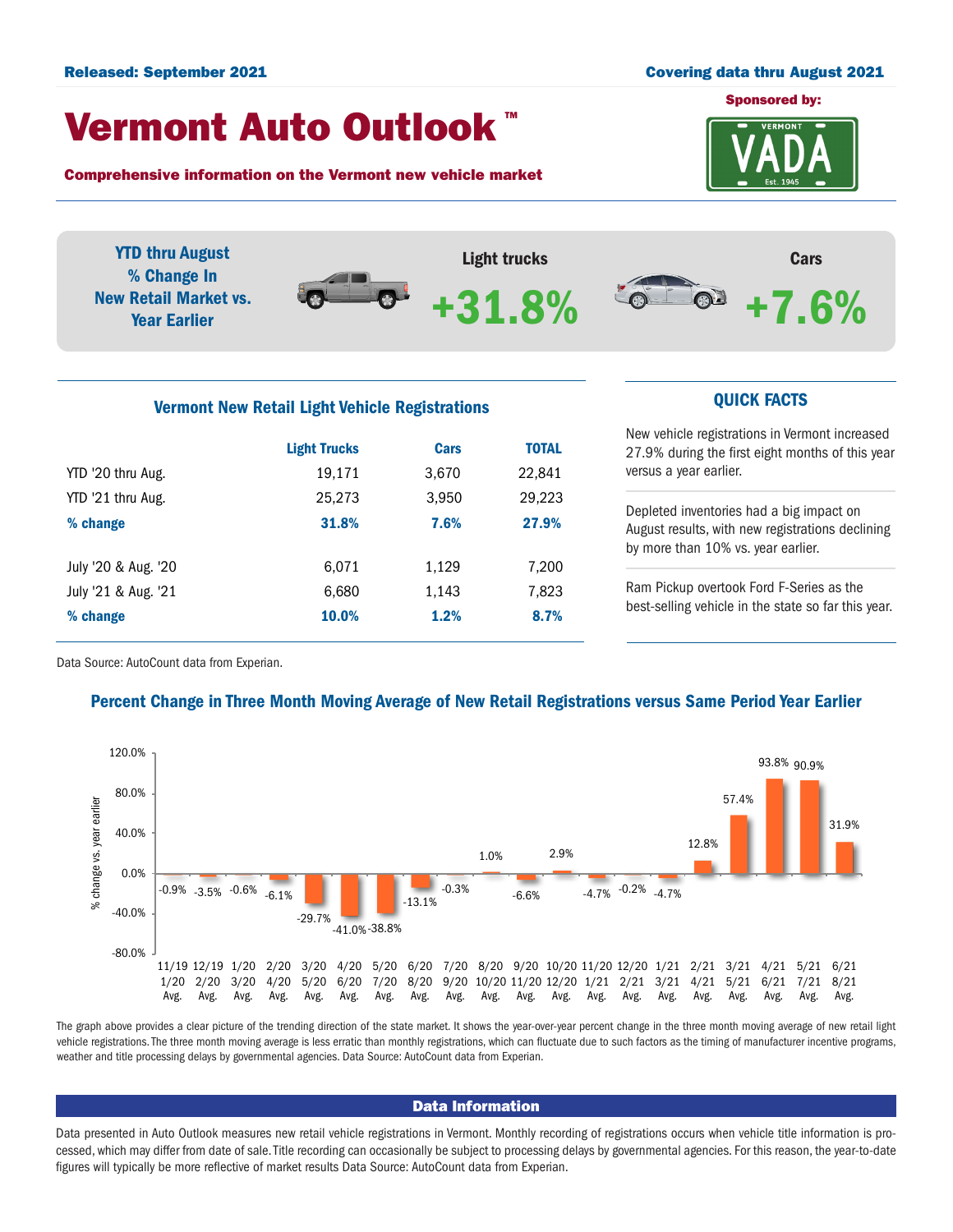#### Released: September 2021 Covering data thru August 2021

## Vermont Auto Outlook TM

Comprehensive information on the Vermont new vehicle market

YTD '20 thru Aug. 19,171 3,670 22,841 YTD '21 thru Aug. 25,273 3,950 29,223 % change 31.8% 7.6% 27.9%

July '20 & Aug. '20 6,071 1,129 7,200 July '21 & Aug. '21 6,680 1,143 7,823 % change 10.0% 1.2% 8.7%



YTD thru August Light trucks Cars % Change In  $\bm{\Theta}$  $\bigcap$ New Retail Market vs. **POP**  $-8\%$ +7.6% Year Earlier Vermont New Retail Light Vehicle Registrations **CUICK FACTS** New vehicle registrations in Vermont increased Light Trucks Cars TOTAL 27.9% during the first eight months of this year

versus a year earlier.

Depleted inventories had a big impact on August results, with new registrations declining by more than 10% vs. year earlier.

Ram Pickup overtook Ford F-Series as the best-selling vehicle in the state so far this year.

Data Source: AutoCount data from Experian.

## Percent Change in Three Month Moving Average of New Retail Registrations versus Same Period Year Earlier



The graph above provides a clear picture of the trending direction of the state market. It shows the year-over-year percent change in the three month moving average of new retail light vehicle registrations. The three month moving average is less erratic than monthly registrations, which can fluctuate due to such factors as the timing of manufacturer incentive programs, weather and title processing delays by governmental agencies. Data Source: AutoCount data from Experian.

#### Data Information

Data presented in Auto Outlook measures new retail vehicle registrations in Vermont. Monthly recording of registrations occurs when vehicle title information is processed, which may differ from date of sale. Title recording can occasionally be subject to processing delays by governmental agencies. For this reason, the year-to-date figures will typically be more reflective of market results Data Source: AutoCount data from Experian.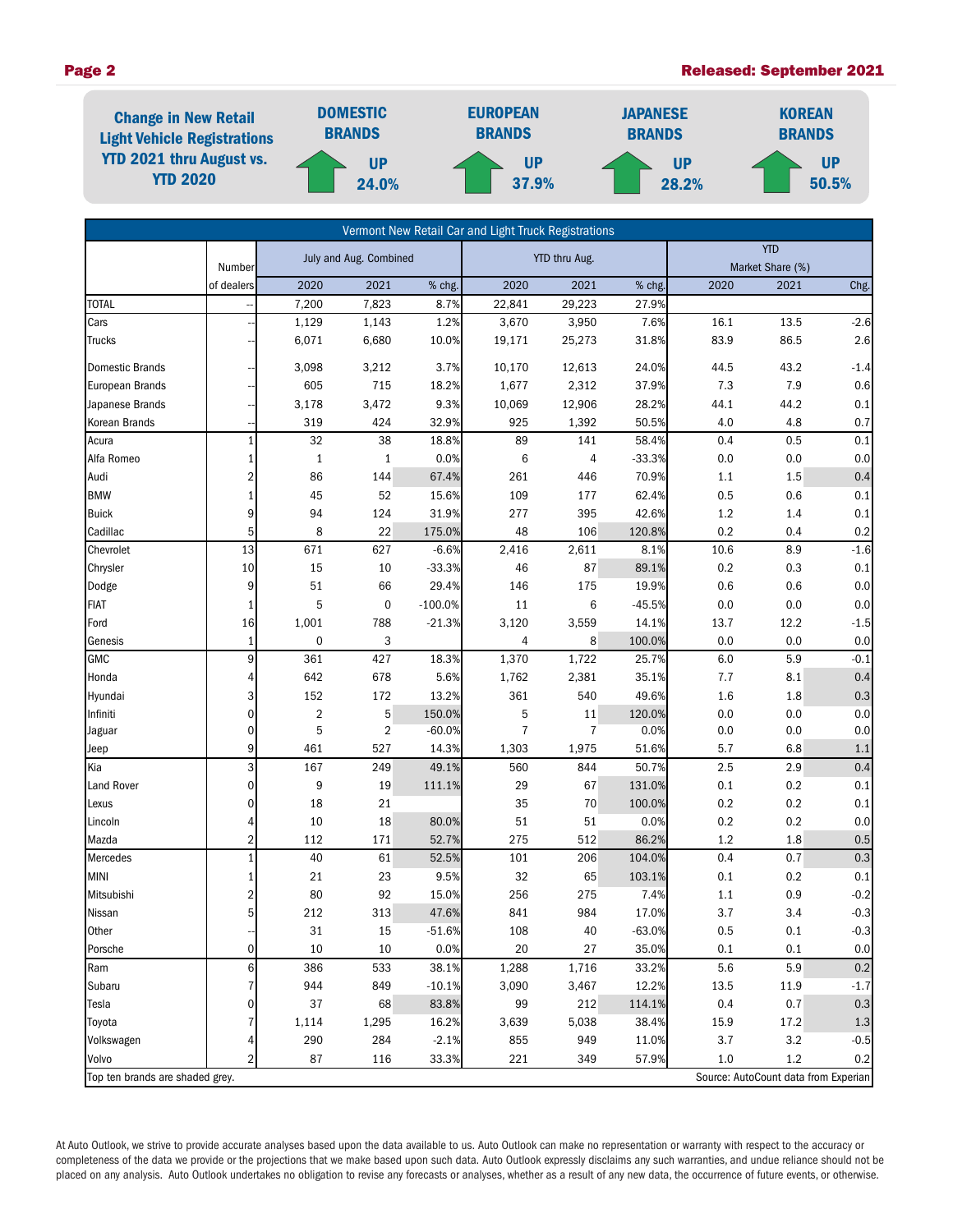## Page 2 Released: September 2021

| <b>Change in New Retail</b><br><b>Light Vehicle Registrations</b><br><b>YTD 2021 thru August vs.</b><br><b>YTD 2020</b> | <b>DOMESTIC</b><br><b>BRANDS</b> | <b>EUROPEAN</b><br><b>BRANDS</b> | <b>JAPANESE</b><br><b>BRANDS</b> | <b>KOREAN</b><br><b>BRANDS</b> |  |
|-------------------------------------------------------------------------------------------------------------------------|----------------------------------|----------------------------------|----------------------------------|--------------------------------|--|
|                                                                                                                         | <b>UP</b><br>24.0%               | <b>UP</b><br>37.9%               | UP<br>28.2%                      | <b>UP</b><br>50.5%             |  |

| Vermont New Retail Car and Light Truck Registrations                    |                |                         |             |           |             |                |          |            |                  |         |  |  |
|-------------------------------------------------------------------------|----------------|-------------------------|-------------|-----------|-------------|----------------|----------|------------|------------------|---------|--|--|
|                                                                         |                | July and Aug. Combined  |             |           |             | YTD thru Aug.  |          | <b>YTD</b> |                  |         |  |  |
|                                                                         | Number         |                         |             |           |             |                |          |            | Market Share (%) |         |  |  |
|                                                                         | of dealers     | 2020                    | 2021        | % chg.    | 2020        | 2021           | % chg.   | 2020       | 2021             | Chg.    |  |  |
| <b>TOTAL</b>                                                            |                | 7,200                   | 7,823       | 8.7%      | 22,841      | 29,223         | 27.9%    |            |                  |         |  |  |
| Cars                                                                    |                | 1,129                   | 1,143       | 1.2%      | 3,670       | 3,950          | 7.6%     | 16.1       | 13.5             | $-2.6$  |  |  |
| Trucks                                                                  |                | 6,071                   | 6,680       | 10.0%     | 19,171      | 25,273         | 31.8%    | 83.9       | 86.5             | 2.6     |  |  |
| <b>Domestic Brands</b>                                                  |                | 3,098                   | 3,212       | 3.7%      | 10,170      | 12,613         | 24.0%    | 44.5       | 43.2             | $-1.4$  |  |  |
| European Brands                                                         |                | 605                     | 715         | 18.2%     | 1,677       | 2,312          | 37.9%    | 7.3        | 7.9              | 0.6     |  |  |
| Japanese Brands                                                         |                | 3,178                   | 3,472       | 9.3%      | 10,069      | 12,906         | 28.2%    | 44.1       | 44.2             | 0.1     |  |  |
| Korean Brands                                                           |                | 319                     | 424         | 32.9%     | 925         | 1,392          | 50.5%    | 4.0        | 4.8              | 0.7     |  |  |
| Acura                                                                   |                | 32                      | 38          | 18.8%     | 89          | 141            | 58.4%    | 0.4        | 0.5              | $0.1\,$ |  |  |
| Alfa Romeo                                                              | 1              | $1\,$                   | 1           | 0.0%      | 6           | 4              | $-33.3%$ | 0.0        | 0.0              | $0.0\,$ |  |  |
| Audi                                                                    | 2              | 86                      | 144         | 67.4%     | 261         | 446            | 70.9%    | 1.1        | 1.5              | $0.4\,$ |  |  |
| <b>BMW</b>                                                              |                | 45                      | 52          | 15.6%     | 109         | 177            | 62.4%    | 0.5        | 0.6              | 0.1     |  |  |
| <b>Buick</b>                                                            | 9              | 94                      | 124         | 31.9%     | 277         | 395            | 42.6%    | 1.2        | 1.4              | $0.1\,$ |  |  |
| Cadillac                                                                | 5              | 8                       | 22          | 175.0%    | 48          | 106            | 120.8%   | 0.2        | 0.4              | 0.2     |  |  |
| Chevrolet                                                               | 13             | 671                     | 627         | $-6.6%$   | 2,416       | 2,611          | 8.1%     | 10.6       | 8.9              | $-1.6$  |  |  |
| Chrysler                                                                | 10             | 15                      | 10          | $-33.3%$  | 46          | 87             | 89.1%    | 0.2        | 0.3              | 0.1     |  |  |
| Dodge                                                                   | 9              | 51                      | 66          | 29.4%     | 146         | 175            | 19.9%    | 0.6        | 0.6              | 0.0     |  |  |
| <b>FIAT</b>                                                             | 1              | 5                       | $\mathbf 0$ | $-100.0%$ | 11          | 6              | $-45.5%$ | 0.0        | 0.0              | 0.0     |  |  |
| Ford                                                                    | 16             | 1,001                   | 788         | $-21.3%$  | 3,120       | 3,559          | 14.1%    | 13.7       | 12.2             | $-1.5$  |  |  |
| Genesis                                                                 | $\mathbf{1}$   | $\pmb{0}$               | 3           |           | 4           | 8              | 100.0%   | 0.0        | 0.0              | $0.0\,$ |  |  |
| <b>GMC</b>                                                              | 9              | 361                     | 427         | 18.3%     | 1,370       | 1,722          | 25.7%    | 6.0        | 5.9              | $-0.1$  |  |  |
| Honda                                                                   | 4              | 642                     | 678         | 5.6%      | 1,762       | 2,381          | 35.1%    | 7.7        | 8.1              | 0.4     |  |  |
| Hyundai                                                                 | 3              | 152                     | 172         | 13.2%     | 361         | 540            | 49.6%    | 1.6        | 1.8              | 0.3     |  |  |
| Infiniti                                                                | $\mathbf 0$    | $\overline{\mathbf{c}}$ | 5           | 150.0%    | $\mathbf 5$ | 11             | 120.0%   | 0.0        | 0.0              | $0.0\,$ |  |  |
| Jaguar                                                                  | $\mathbf{0}$   | 5                       | 2           | $-60.0%$  | 7           | $\overline{7}$ | 0.0%     | 0.0        | 0.0              | 0.0     |  |  |
| Jeep                                                                    | 9              | 461                     | 527         | 14.3%     | 1,303       | 1,975          | 51.6%    | 5.7        | 6.8              | $1.1$   |  |  |
| Kia                                                                     | 3              | 167                     | 249         | 49.1%     | 560         | 844            | 50.7%    | 2.5        | 2.9              | 0.4     |  |  |
| Land Rover                                                              | 0              | 9                       | 19          | 111.1%    | 29          | 67             | 131.0%   | 0.1        | 0.2              | 0.1     |  |  |
| Lexus                                                                   | 0              | 18                      | 21          |           | 35          | 70             | 100.0%   | 0.2        | 0.2              | 0.1     |  |  |
| Lincoln                                                                 | 4              | 10                      | 18          | 80.0%     | 51          | 51             | 0.0%     | 0.2        | 0.2              | $0.0\,$ |  |  |
| Mazda                                                                   | $\overline{2}$ | 112                     | 171         | 52.7%     | 275         | 512            | 86.2%    | 1.2        | 1.8              | 0.5     |  |  |
| Mercedes                                                                | $\mathbf{1}$   | $40\,$                  | 61          | 52.5%     | 101         | 206            | 104.0%   | 0.4        | 0.7              | 0.3     |  |  |
| <b>MINI</b>                                                             | 1              | 21                      | 23          | 9.5%      | 32          | 65             | 103.1%   | 0.1        | 0.2              | 0.1     |  |  |
| Mitsubishi                                                              | 2              | 80                      | 92          | 15.0%     | 256         | 275            | 7.4%     | 1.1        | 0.9              | $-0.2$  |  |  |
| Nissan                                                                  | 5 <sup>1</sup> | 212                     | 313         | 47.6%     | 841         | 984            | 17.0%    | 3.7        | 3.4              | $-0.3$  |  |  |
| Other                                                                   |                | 31                      | 15          | $-51.6%$  | 108         | 40             | $-63.0%$ | 0.5        | 0.1              | $-0.3$  |  |  |
| Porsche                                                                 | $\overline{0}$ | $10\,$                  | 10          | 0.0%      | 20          | 27             | 35.0%    | 0.1        | 0.1              | 0.0     |  |  |
| Ram                                                                     | 6              | 386                     | 533         | 38.1%     | 1,288       | 1,716          | 33.2%    | 5.6        | 5.9              | $0.2\,$ |  |  |
| Subaru                                                                  |                | 944                     | 849         | $-10.1%$  | 3,090       | 3,467          | 12.2%    | 13.5       | 11.9             | $-1.7$  |  |  |
| Tesla                                                                   | 0              | 37                      | 68          | 83.8%     | 99          | 212            | 114.1%   | 0.4        | 0.7              | $0.3\,$ |  |  |
| Toyota                                                                  |                | 1,114                   | 1,295       | 16.2%     | 3,639       | 5,038          | 38.4%    | 15.9       | 17.2             | $1.3\,$ |  |  |
| Volkswagen                                                              |                | 290                     | 284         | $-2.1%$   | 855         | 949            | 11.0%    | 3.7        | 3.2              | $-0.5$  |  |  |
| Volvo                                                                   | $\overline{2}$ | 87                      | 116         | 33.3%     | 221         | 349            | 57.9%    | 1.0        | 1.2              | 0.2     |  |  |
| Source: AutoCount data from Experian<br>Top ten brands are shaded grey. |                |                         |             |           |             |                |          |            |                  |         |  |  |

At Auto Outlook, we strive to provide accurate analyses based upon the data available to us. Auto Outlook can make no representation or warranty with respect to the accuracy or completeness of the data we provide or the projections that we make based upon such data. Auto Outlook expressly disclaims any such warranties, and undue reliance should not be placed on any analysis. Auto Outlook undertakes no obligation to revise any forecasts or analyses, whether as a result of any new data, the occurrence of future events, or otherwise.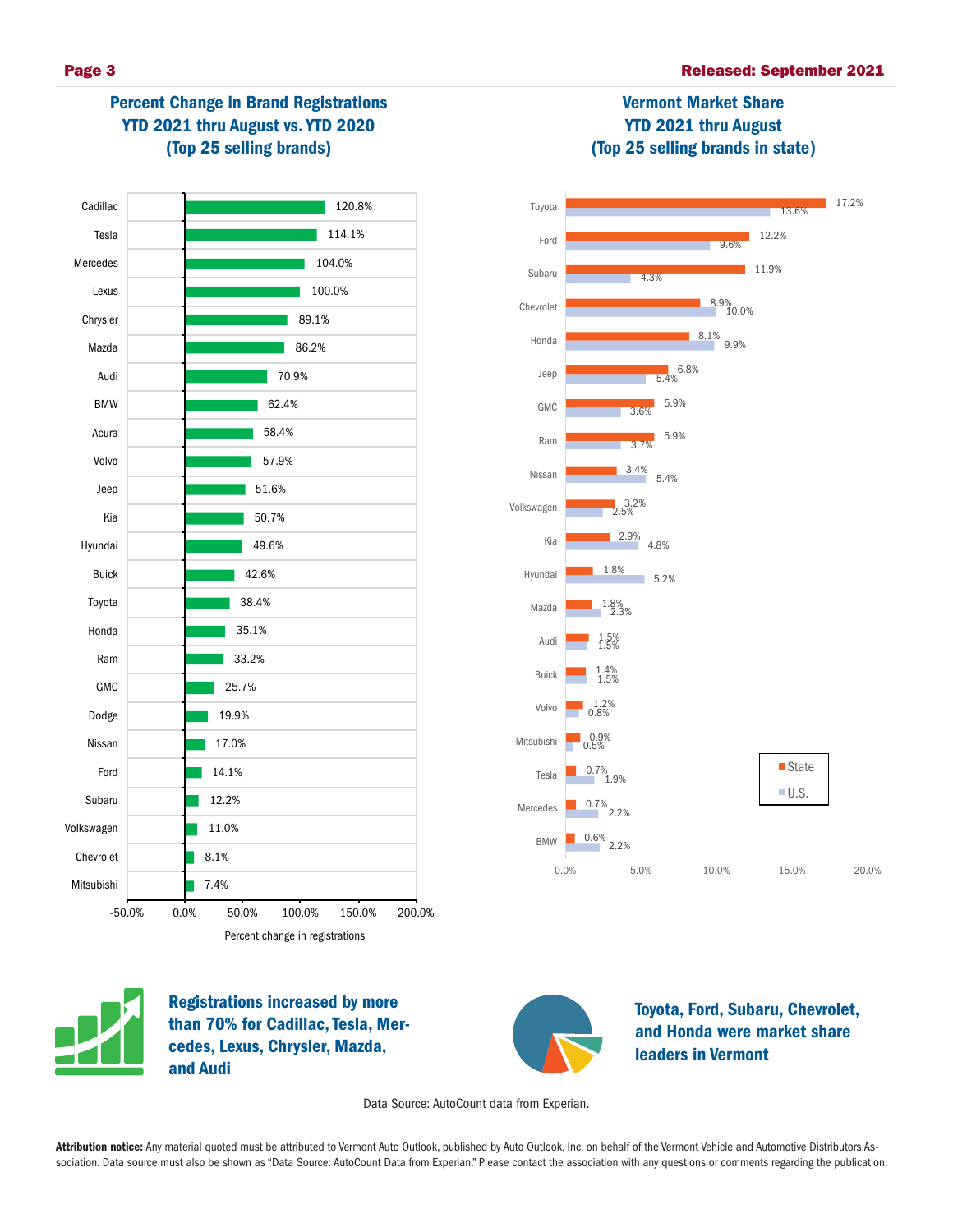

## Percent Change in Brand Registrations YTD 2021 thru August vs. YTD 2020 (Top 25 selling brands)



# Vermont Market Share YTD 2021 thru August (Top 25 selling brands in state)





Registrations increased by more than 70% for Cadillac, Tesla, Mercedes, Lexus, Chrysler, Mazda, and Audi



Toyota, Ford, Subaru, Chevrolet, and Honda were market share leaders in Vermont

Data Source: AutoCount data from Experian.

Attribution notice: Any material quoted must be attributed to Vermont Auto Outlook, published by Auto Outlook, Inc. on behalf of the Vermont Vehicle and Automotive Distributors Association. Data source must also be shown as "Data Source: AutoCount Data from Experian." Please contact the association with any questions or comments regarding the publication.